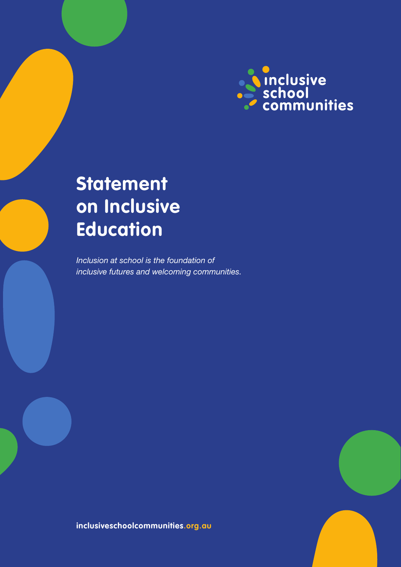

# **Statement on Inclusive Education**

*Inclusion at school is the foundation of inclusive futures and welcoming communities.*

**inclusiveschoolcommunities.org.au**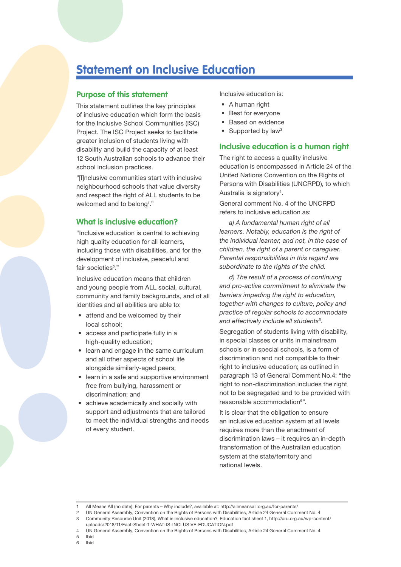## **Statement on Inclusive Education**

#### **Purpose of this statement**

This statement outlines the key principles of inclusive education which form the basis for the Inclusive School Communities (ISC) Project. The ISC Project seeks to facilitate greater inclusion of students living with disability and build the capacity of at least 12 South Australian schools to advance their school inclusion practices.

"[I]nclusive communities start with inclusive neighbourhood schools that value diversity and respect the right of ALL students to be welcomed and to belong<sup>1</sup>."

#### **What is inclusive education?**

"Inclusive education is central to achieving high quality education for all learners, including those with disabilities, and for the development of inclusive, peaceful and fair societies<sup>2</sup>."

Inclusive education means that children and young people from ALL social, cultural, community and family backgrounds, and of all identities and all abilities are able to:

- attend and be welcomed by their local school;
- access and participate fully in a high-quality education;
- learn and engage in the same curriculum and all other aspects of school life alongside similarly-aged peers;
- learn in a safe and supportive environment free from bullying, harassment or discrimination; and
- achieve academically and socially with support and adjustments that are tailored to meet the individual strengths and needs of every student.

Inclusive education is:

- A human right
- Best for everyone
- Based on evidence
- Supported by law<sup>3</sup>

#### **Inclusive education is a human right**

The right to access a quality inclusive education is encompassed in Article 24 of the United Nations Convention on the Rights of Persons with Disabilities (UNCRPD), to which Australia is signatory<sup>4</sup>.

General comment No. 4 of the UNCRPD refers to inclusive education as:

*a) A fundamental human right of all learners. Notably, education is the right of the individual learner, and not, in the case of children, the right of a parent or caregiver. Parental responsibilities in this regard are subordinate to the rights of the child.* 

*d) The result of a process of continuing and pro-active commitment to eliminate the barriers impeding the right to education, together with changes to culture, policy and practice of regular schools to accommodate and effectively include all students5.*

Segregation of students living with disability, in special classes or units in mainstream schools or in special schools, is a form of discrimination and not compatible to their right to inclusive education; as outlined in paragraph 13 of General Comment No.4: "the right to non-discrimination includes the right not to be segregated and to be provided with reasonable accommodation<sup>6"</sup>.

It is clear that the obligation to ensure an inclusive education system at all levels requires more than the enactment of discrimination laws – it requires an in-depth transformation of the Australian education system at the state/territory and national levels.

5 Ibid

<sup>1</sup> All Means All (no date), For parents – Why include?, available at: http://allmeansall.org.au/for-parents/

<sup>2</sup> UN General Assembly, Convention on the Rights of Persons with Disabilities, Article 24 General Comment No. 4 3 Community Resource Unit (2018), What is inclusive education?, Education fact sheet 1, http://cru.org.au/wp-content/ uploads/2018/11/Fact-Sheet-1-WHAT-IS-INCLUSIVE-EDUCATION.pdf

<sup>4</sup> UN General Assembly, Convention on the Rights of Persons with Disabilities, Article 24 General Comment No. 4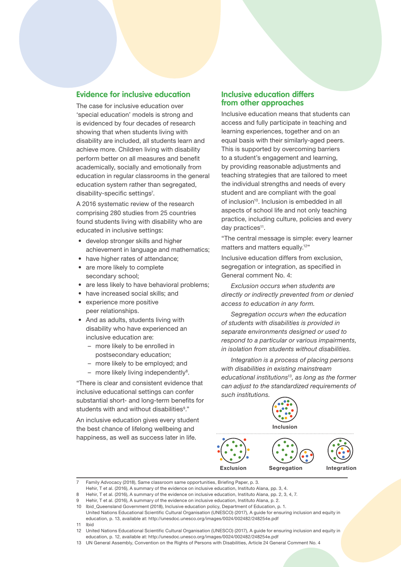#### **Evidence for inclusive education**

The case for inclusive education over 'special education' models is strong and is evidenced by four decades of research showing that when students living with disability are included, all students learn and achieve more. Children living with disability perform better on all measures and benefit academically, socially and emotionally from education in regular classrooms in the general education system rather than segregated, disability-specific settings<sup>7</sup>.

A 2016 systematic review of the research comprising 280 studies from 25 countries found students living with disability who are educated in inclusive settings:

- develop stronger skills and higher achievement in language and mathematics;
- have higher rates of attendance; • are more likely to complete
- secondary school;
- are less likely to have behavioral problems;
- have increased social skills; and experience more positive peer relationships.
- And as adults, students living with disability who have experienced an inclusive education are:
	- more likely to be enrolled in postsecondary education;
	- more likely to be employed; and
	- $-$  more likely living independently<sup>8</sup>.

"There is clear and consistent evidence that inclusive educational settings can confer substantial short- and long-term benefits for students with and without disabilities<sup>9</sup>."

An inclusive education gives every student the best chance of lifelong wellbeing and happiness, as well as success later in life.

#### **Inclusive education differs from other approaches**

Inclusive education means that students can access and fully participate in teaching and learning experiences, together and on an equal basis with their similarly-aged peers. This is supported by overcoming barriers to a student's engagement and learning, by providing reasonable adjustments and teaching strategies that are tailored to meet the individual strengths and needs of every student and are compliant with the goal of inclusion<sup>10</sup>. Inclusion is embedded in all aspects of school life and not only teaching practice, including culture, policies and every day practices<sup>11</sup>.

"The central message is simple: every learner matters and matters equally.<sup>12"</sup>

Inclusive education differs from exclusion, segregation or integration, as specified in General comment No. 4:

*Exclusion occurs when students are directly or indirectly prevented from or denied access to education in any form.*

*Segregation occurs when the education of students with disabilities is provided in separate environments designed or used to respond to a particular or various impairments, in isolation from students without disabilities.* 

*Integration is a process of placing persons with disabilities in existing mainstream educational institutions13, as long as the former can adjust to the standardized requirements of such institutions.*



Family Advocacy (2018), Same classroom same opportunities, Briefing Paper, p. 3.

Hehir, T et al. (2016), A summary of the evidence on inclusive education, Instituto Alana, pp. 3, 4.

11 Ibid

<sup>8</sup> Hehir, T et al. (2016), A summary of the evidence on inclusive education, Instituto Alana, pp. 2, 3, 4, 7.

<sup>9</sup> Hehir, T et al. (2016), A summary of the evidence on inclusive education, Instituto Alana, p. 2.

<sup>10</sup> Ibid\_Queensland Government (2018), Inclusive education policy, Department of Education, p. 1.

United Nations Educational Scientific Cultural Organisation (UNESCO) (2017), A guide for ensuring inclusion and equity in education, p. 13, available at: http://unesdoc.unesco.org/images/0024/002482/248254e.pdf

<sup>12</sup> United Nations Educational Scientific Cultural Organisation (UNESCO) (2017), A guide for ensuring inclusion and equity in education, p. 12, available at: http://unesdoc.unesco.org/images/0024/002482/248254e.pdf

<sup>13</sup> UN General Assembly, Convention on the Rights of Persons with Disabilities, Article 24 General Comment No. 4